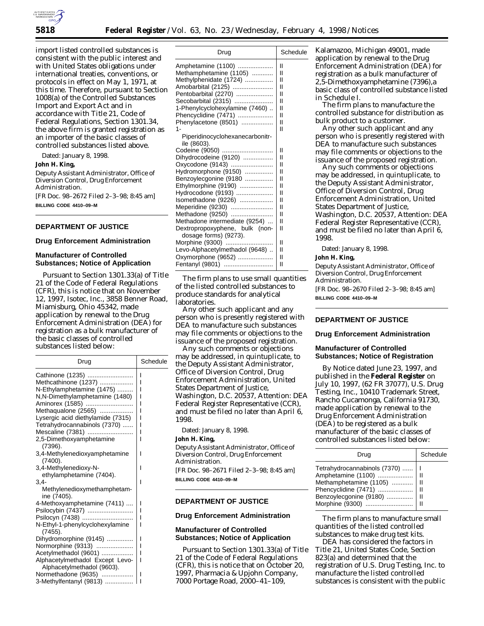

import listed controlled substances is consistent with the public interest and with United States obligations under international treaties, conventions, or protocols in effect on May 1, 1971, at this time. Therefore, pursuant to Section 1008(a) of the Controlled Substances Import and Export Act and in accordance with Title 21, Code of Federal Regulations, Section 1301.34, the above firm is granted registration as an importer of the basic classes of controlled substances listed above.

Dated: January 8, 1998.

# **John H. King,**

*Deputy Assistant Administrator, Office of Diversion Control, Drug Enforcement Administration.* [FR Doc. 98–2672 Filed 2–3–98; 8:45 am] **BILLING CODE 4410–09–M**

# **DEPARTMENT OF JUSTICE**

# **Drug Enforcement Administration**

# **Manufacturer of Controlled Substances; Notice of Application**

Pursuant to Section 1301.33(a) of Title 21 of the Code of Federal Regulations (CFR), this is notice that on November 12, 1997, Isotec, Inc., 3858 Benner Road, Miamisburg, Ohio 45342, made application by renewal to the Drug Enforcement Administration (DEA) for registration as a bulk manufacturer of the basic classes of controlled substances listed below:

| Drug                                                                                                                                                                                                                   | Schedule    |
|------------------------------------------------------------------------------------------------------------------------------------------------------------------------------------------------------------------------|-------------|
| Cathinone (1235)<br>Methcathinone (1237)<br>N-Ethylamphetamine (1475)<br>N,N-Dimethylamphetamine (1480)<br>Aminorex (1585)<br>Methaqualone (2565)<br>Lysergic acid diethylamide (7315)<br>Tetrahydrocannabinols (7370) | ı           |
| Mescaline (7381)<br>2,5-Dimethoxyamphetamine                                                                                                                                                                           |             |
| (7396).<br>3,4-Methylenedioxyamphetamine<br>(7400).                                                                                                                                                                    | ı           |
| 3,4-Methylenedioxy-N-<br>ethylamphetamine (7404).<br>3.4-                                                                                                                                                              | ı<br>ı      |
| Methylenedioxymethamphetam-<br>ine (7405).                                                                                                                                                                             |             |
| 4-Methoxyamphetamine (7411)<br>Psilocybin (7437)<br>Psilocyn (7438)                                                                                                                                                    | ı<br>ı<br>ı |
| N-Ethyl-1-phenylcyclohexylamine<br>(7455).                                                                                                                                                                             | ı           |
| Dihydromorphine (9145)<br>Normorphine (9313)                                                                                                                                                                           | ı<br>ı      |
| Acetylmethadol (9601)<br>Alphacetylmethadol Except Levo-<br>Alphacetylmethadol (9603).                                                                                                                                 | ı<br>ı      |
| Normethadone (9635)<br>3-Methylfentanyl (9813)                                                                                                                                                                         | ı<br>ı      |

| Drug                            | Schedule      |
|---------------------------------|---------------|
| Amphetamine (1100)              | н             |
| Methamphetamine (1105)          | н             |
| Methylphenidate (1724)          | н             |
| Amobarbital (2125)              | $\mathbf{I}$  |
| Pentobarbital (2270)            | $\mathsf{II}$ |
| Secobarbital (2315)             | $\mathsf{II}$ |
| 1-Phenylcyclohexylamine (7460)  | н             |
| Phencyclidine (7471)            | н             |
| Phenylacetone (8501)            | н             |
| 1-                              | $\mathsf{II}$ |
| Piperidinocyclohexanecarbonitr- |               |
| ile (8603).                     |               |
| Codeine (9050)                  | н             |
| Dihydrocodeine (9120)           | $\mathsf{II}$ |
| Oxycodone (9143)                | $\mathbf{I}$  |
| Hydromorphone (9150)            | н             |
| Benzoylecgonine (9180           | $\mathsf{II}$ |
| Ethylmorphine (9190)            | $\mathsf{I}$  |
| Hydrocodone (9193)              | П             |
| Isomethadone (9226)             | $\mathsf{II}$ |
| Meperidine (9230)               | н             |
| Methadone (9250)                | $\mathsf{II}$ |
| Methadone intermediate (9254)   | н             |
| Dextropropoxyphene, bulk (non-  | н             |
| dosage forms) (9273).           |               |
| Morphine (9300)                 | н             |
| Levo-Alphacetylmethadol (9648)  | н             |
| Oxymorphone (9652)              | н             |
| Fentanyl (9801)                 | II            |

The firm plans to use small quantities of the listed controlled substances to produce standards for analytical laboratories.

Any other such applicant and any person who is presently registered with DEA to manufacture such substances may file comments or objections to the issuance of the proposed registration.

Any such comments or objections may be addressed, in quintuplicate, to the Deputy Assistant Administrator, Office of Diversion Control, Drug Enforcement Administration, United States Department of Justice, Washington, D.C. 20537, Attention: DEA Federal Register Representative (CCR), and must be filed no later than April 6, 1998.

Dated: January 8, 1998.

# **John H. King,**

*Deputy Assistant Administrator, Office of Diversion Control, Drug Enforcement Administration.* [FR Doc. 98–2671 Filed 2–3–98; 8:45 am]

**BILLING CODE 4410–09–M**

# **DEPARTMENT OF JUSTICE**

### **Drug Enforcement Administration**

# **Manufacturer of Controlled Substances; Notice of Application**

Pursuant to Section 1301.33(a) of Title 21 of the Code of Federal Regulations (CFR), this is notice that on October 20, 1997, Pharmacia & Upjohn Company, 7000 Portage Road, 2000–41–109,

Kalamazoo, Michigan 49001, made application by renewal to the Drug Enforcement Administration (DEA) for registration as a bulk manufacturer of 2,5-Dimethoxyamphetamine (7396),a basic class of controlled substance listed in Schedule I.

The firm plans to manufacture the controlled substance for distribution as bulk product to a customer.

Any other such applicant and any person who is presently registered with DEA to manufacture such substances may file comments or objections to the issuance of the proposed registration.

Any such comments or objections may be addressed, in quintuplicate, to the Deputy Assistant Administrator, Office of Diversion Control, Drug Enforcement Administration, United States Department of Justice, Washington, D.C. 20537, Attention: DEA Federal Register Representative (CCR), and must be filed no later than April 6, 1998.

Dated: January 8, 1998.

# **John H. King,**

*Deputy Assistant Administrator, Office of Diversion Control, Drug Enforcement Administration.* [FR Doc. 98–2670 Filed 2–3–98; 8:45 am] **BILLING CODE 4410–09–M**

# **DEPARTMENT OF JUSTICE**

### **Drug Enforcement Administration**

### **Manufacturer of Controlled Substances; Notice of Registration**

By Notice dated June 23, 1997, and published in the **Federal Register** on July 10, 1997, (62 FR 37077), U.S. Drug Testing, Inc., 10410 Trademark Street, Rancho Cucamonga, California 91730, made application by renewal to the Drug Enforcement Administration (DEA) to be registered as a bulk manufacturer of the basic classes of controlled substances listed below:

| Drug                                                                                                                                                      | Schedule                |
|-----------------------------------------------------------------------------------------------------------------------------------------------------------|-------------------------|
| Tetrahydrocannabinols (7370)<br>Amphetamine (1100)  <br>Methamphetamine (1105)   <br>Phencyclidine (7471)   <br>Benzoylecgonine (9180)<br>Morphine (9300) | H<br>H<br>H<br>-II<br>Ш |

The firm plans to manufacture small quantities of the listed controlled substances to make drug test kits.

DEA has considered the factors in Title 21, United States Code, Section 823(a) and determined that the registration of U.S. Drug Testing, Inc. to manufacture the listed controlled substances is consistent with the public